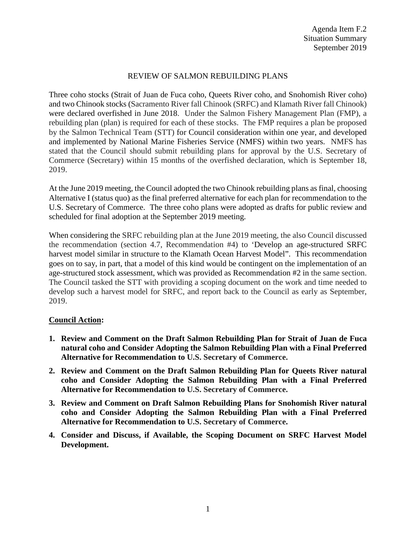## REVIEW OF SALMON REBUILDING PLANS

Three coho stocks (Strait of Juan de Fuca coho, Queets River coho, and Snohomish River coho) and two Chinook stocks (Sacramento River fall Chinook (SRFC) and Klamath River fall Chinook) were declared overfished in June 2018. Under the Salmon Fishery Management Plan (FMP), a rebuilding plan (plan) is required for each of these stocks. The FMP requires a plan be proposed by the Salmon Technical Team (STT) for Council consideration within one year, and developed and implemented by National Marine Fisheries Service (NMFS) within two years. NMFS has stated that the Council should submit rebuilding plans for approval by the U.S. Secretary of Commerce (Secretary) within 15 months of the overfished declaration, which is September 18, 2019.

At the June 2019 meeting, the Council adopted the two Chinook rebuilding plans as final, choosing Alternative I (status quo) as the final preferred alternative for each plan for recommendation to the U.S. Secretary of Commerce. The three coho plans were adopted as drafts for public review and scheduled for final adoption at the September 2019 meeting.

When considering the SRFC rebuilding plan at the June 2019 meeting, the also Council discussed the recommendation (section 4.7, Recommendation #4) to 'Develop an age-structured SRFC harvest model similar in structure to the Klamath Ocean Harvest Model". This recommendation goes on to say, in part, that a model of this kind would be contingent on the implementation of an age-structured stock assessment, which was provided as Recommendation #2 in the same section. The Council tasked the STT with providing a scoping document on the work and time needed to develop such a harvest model for SRFC, and report back to the Council as early as September, 2019.

## **Council Action:**

- **1. Review and Comment on the Draft Salmon Rebuilding Plan for Strait of Juan de Fuca natural coho and Consider Adopting the Salmon Rebuilding Plan with a Final Preferred Alternative for Recommendation to U.S. Secretary of Commerce.**
- **2. Review and Comment on the Draft Salmon Rebuilding Plan for Queets River natural coho and Consider Adopting the Salmon Rebuilding Plan with a Final Preferred Alternative for Recommendation to U.S. Secretary of Commerce.**
- **3. Review and Comment on Draft Salmon Rebuilding Plans for Snohomish River natural coho and Consider Adopting the Salmon Rebuilding Plan with a Final Preferred Alternative for Recommendation to U.S. Secretary of Commerce.**
- **4. Consider and Discuss, if Available, the Scoping Document on SRFC Harvest Model Development.**